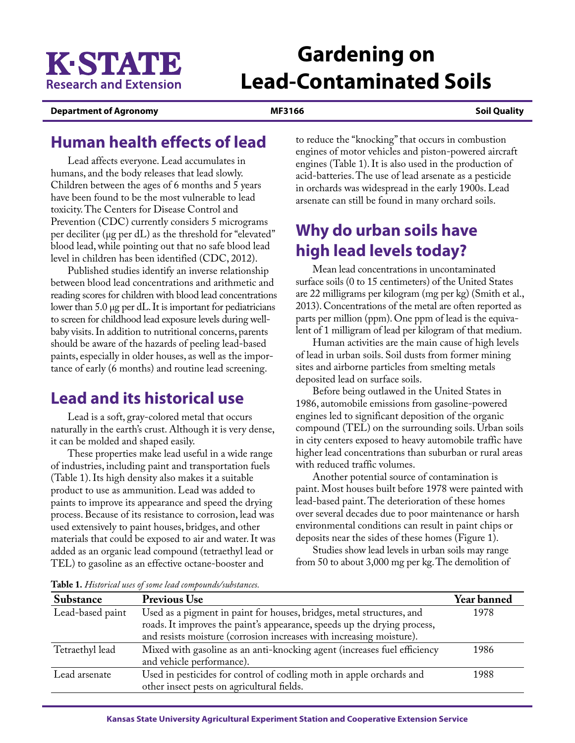

# **Gardening on Lead-Contaminated Soils**

#### **Department of Agronomy MF3166 Soil Quality**

### **Human health effects of lead**

Lead affects everyone. Lead accumulates in humans, and the body releases that lead slowly. Children between the ages of 6 months and 5 years have been found to be the most vulnerable to lead toxicity. The Centers for Disease Control and Prevention (CDC) currently considers 5 micrograms per deciliter (μg per dL) as the threshold for "elevated" blood lead, while pointing out that no safe blood lead level in children has been identified (CDC, 2012).

Published studies identify an inverse relationship between blood lead concentrations and arithmetic and reading scores for children with blood lead concentrations lower than 5.0 μg per dL. It is important for pediatricians to screen for childhood lead exposure levels during wellbaby visits. In addition to nutritional concerns, parents should be aware of the hazards of peeling lead-based paints, especially in older houses, as well as the importance of early (6 months) and routine lead screening.

## **Lead and its historical use**

Lead is a soft, gray-colored metal that occurs naturally in the earth's crust. Although it is very dense, it can be molded and shaped easily.

These properties make lead useful in a wide range of industries, including paint and transportation fuels (Table 1). Its high density also makes it a suitable product to use as ammunition. Lead was added to paints to improve its appearance and speed the drying process. Because of its resistance to corrosion, lead was used extensively to paint houses, bridges, and other materials that could be exposed to air and water. It was added as an organic lead compound (tetraethyl lead or TEL) to gasoline as an effective octane-booster and

to reduce the "knocking" that occurs in combustion engines of motor vehicles and piston-powered aircraft engines (Table 1). It is also used in the production of acid-batteries. The use of lead arsenate as a pesticide in orchards was widespread in the early 1900s. Lead arsenate can still be found in many orchard soils.

# **Why do urban soils have high lead levels today?**

Mean lead concentrations in uncontaminated surface soils (0 to 15 centimeters) of the United States are 22 milligrams per kilogram (mg per kg) (Smith et al., 2013). Concentrations of the metal are often reported as parts per million (ppm). One ppm of lead is the equivalent of 1 milligram of lead per kilogram of that medium.

Human activities are the main cause of high levels of lead in urban soils. Soil dusts from former mining sites and airborne particles from smelting metals deposited lead on surface soils.

Before being outlawed in the United States in 1986, automobile emissions from gasoline-powered engines led to significant deposition of the organic compound (TEL) on the surrounding soils. Urban soils in city centers exposed to heavy automobile traffic have higher lead concentrations than suburban or rural areas with reduced traffic volumes.

Another potential source of contamination is paint. Most houses built before 1978 were painted with lead-based paint. The deterioration of these homes over several decades due to poor maintenance or harsh environmental conditions can result in paint chips or deposits near the sides of these homes (Figure 1).

Studies show lead levels in urban soils may range from 50 to about 3,000 mg per kg. The demolition of

| Substance        | <b>Previous Use</b>                                                      | Year banned |
|------------------|--------------------------------------------------------------------------|-------------|
| Lead-based paint | Used as a pigment in paint for houses, bridges, metal structures, and    | 1978        |
|                  | roads. It improves the paint's appearance, speeds up the drying process, |             |
|                  | and resists moisture (corrosion increases with increasing moisture).     |             |
| Tetraethyl lead  | Mixed with gasoline as an anti-knocking agent (increases fuel efficiency | 1986        |
|                  | and vehicle performance).                                                |             |
| Lead arsenate    | Used in pesticides for control of codling moth in apple orchards and     | 1988        |
|                  | other insect pests on agricultural fields.                               |             |

**Table 1.** *Historical uses of some lead compounds/substances.*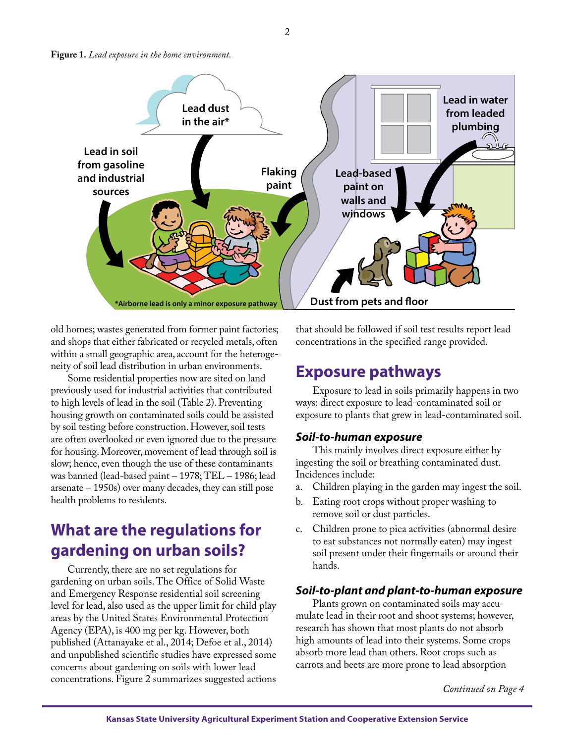



old homes; wastes generated from former paint factories; and shops that either fabricated or recycled metals, often within a small geographic area, account for the heterogeneity of soil lead distribution in urban environments.

Some residential properties now are sited on land previously used for industrial activities that contributed to high levels of lead in the soil (Table 2). Preventing housing growth on contaminated soils could be assisted by soil testing before construction. However, soil tests are often overlooked or even ignored due to the pressure for housing. Moreover, movement of lead through soil is slow; hence, even though the use of these contaminants was banned (lead-based paint – 1978; TEL – 1986; lead arsenate – 1950s) over many decades, they can still pose health problems to residents.

# **What are the regulations for gardening on urban soils?**

Currently, there are no set regulations for gardening on urban soils. The Office of Solid Waste and Emergency Response residential soil screening level for lead, also used as the upper limit for child play areas by the United States Environmental Protection Agency (EPA), is 400 mg per kg. However, both published (Attanayake et al., 2014; Defoe et al., 2014) and unpublished scientific studies have expressed some concerns about gardening on soils with lower lead concentrations. Figure 2 summarizes suggested actions

that should be followed if soil test results report lead concentrations in the specified range provided.

### **Exposure pathways**

Exposure to lead in soils primarily happens in two ways: direct exposure to lead-contaminated soil or exposure to plants that grew in lead-contaminated soil.

#### *Soil-to-human exposure*

This mainly involves direct exposure either by ingesting the soil or breathing contaminated dust. Incidences include:

- a. Children playing in the garden may ingest the soil.
- b. Eating root crops without proper washing to remove soil or dust particles.
- c. Children prone to pica activities (abnormal desire to eat substances not normally eaten) may ingest soil present under their fingernails or around their hands.

#### *Soil-to-plant and plant-to-human exposure*

Plants grown on contaminated soils may accumulate lead in their root and shoot systems; however, research has shown that most plants do not absorb high amounts of lead into their systems. Some crops absorb more lead than others. Root crops such as carrots and beets are more prone to lead absorption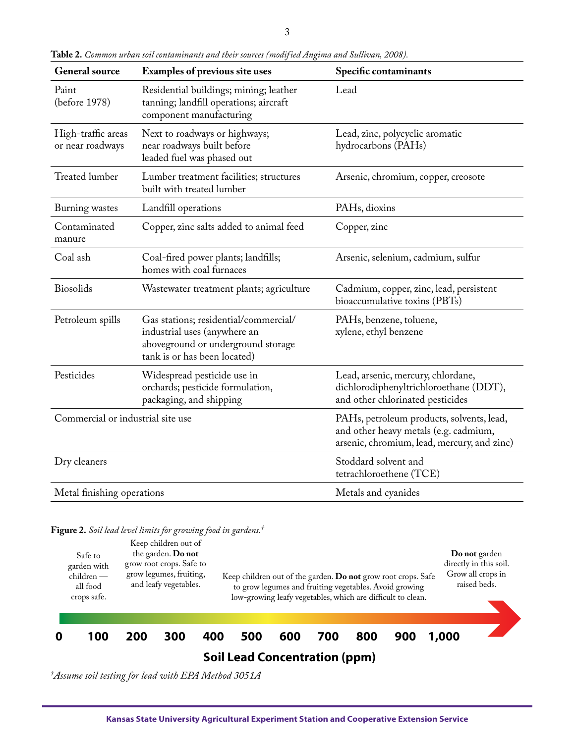| <b>General source</b>                  | Examples of previous site uses                                                                                                              | Specific contaminants                                                                                                             |  |
|----------------------------------------|---------------------------------------------------------------------------------------------------------------------------------------------|-----------------------------------------------------------------------------------------------------------------------------------|--|
| Paint<br>(before 1978)                 | Residential buildings; mining; leather<br>tanning; landfill operations; aircraft<br>component manufacturing                                 | Lead                                                                                                                              |  |
| High-traffic areas<br>or near roadways | Next to roadways or highways;<br>near roadways built before<br>leaded fuel was phased out                                                   | Lead, zinc, polycyclic aromatic<br>hydrocarbons (PAHs)                                                                            |  |
| Treated lumber                         | Lumber treatment facilities; structures<br>built with treated lumber                                                                        | Arsenic, chromium, copper, creosote                                                                                               |  |
| Burning wastes                         | Landfill operations                                                                                                                         | PAHs, dioxins                                                                                                                     |  |
| Contaminated<br>manure                 | Copper, zinc salts added to animal feed                                                                                                     | Copper, zinc                                                                                                                      |  |
| Coal ash                               | Coal-fired power plants; landfills;<br>homes with coal furnaces                                                                             | Arsenic, selenium, cadmium, sulfur                                                                                                |  |
| <b>Biosolids</b>                       | Wastewater treatment plants; agriculture                                                                                                    | Cadmium, copper, zinc, lead, persistent<br>bioaccumulative toxins (PBTs)                                                          |  |
| Petroleum spills                       | Gas stations; residential/commercial/<br>industrial uses (anywhere an<br>aboveground or underground storage<br>tank is or has been located) | PAHs, benzene, toluene,<br>xylene, ethyl benzene                                                                                  |  |
| Pesticides                             | Widespread pesticide use in<br>orchards; pesticide formulation,<br>packaging, and shipping                                                  | Lead, arsenic, mercury, chlordane,<br>dichlorodiphenyltrichloroethane (DDT),<br>and other chlorinated pesticides                  |  |
| Commercial or industrial site use      |                                                                                                                                             | PAHs, petroleum products, solvents, lead,<br>and other heavy metals (e.g. cadmium,<br>arsenic, chromium, lead, mercury, and zinc) |  |
| Dry cleaners                           |                                                                                                                                             | Stoddard solvent and<br>tetrachloroethene (TCE)                                                                                   |  |
| Metal finishing operations             |                                                                                                                                             | Metals and cyanides                                                                                                               |  |

**Table 2.** *Common urban soil contaminants and their sources (modified Angima and Sullivan, 2008).*

**Figure 2.** *Soil lead level limits for growing food in gardens.†*



*† Assume soil testing for lead with EPA Method 3051A*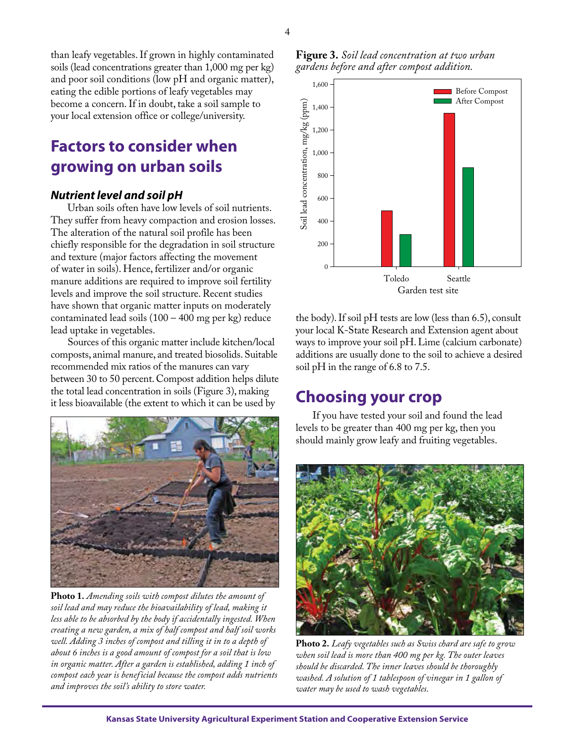than leafy vegetables. If grown in highly contaminated soils (lead concentrations greater than 1,000 mg per kg) and poor soil conditions (low pH and organic matter), eating the edible portions of leafy vegetables may become a concern. If in doubt, take a soil sample to your local extension office or college/university.

# **Factors to consider when growing on urban soils**

#### *Nutrient level and soil pH*

Urban soils often have low levels of soil nutrients. They suffer from heavy compaction and erosion losses. The alteration of the natural soil profile has been chiefly responsible for the degradation in soil structure and texture (major factors affecting the movement of water in soils). Hence, fertilizer and/or organic manure additions are required to improve soil fertility levels and improve the soil structure. Recent studies have shown that organic matter inputs on moderately contaminated lead soils (100 – 400 mg per kg) reduce lead uptake in vegetables.

Sources of this organic matter include kitchen/local composts, animal manure, and treated biosolids. Suitable recommended mix ratios of the manures can vary between 30 to 50 percent. Compost addition helps dilute the total lead concentration in soils (Figure 3), making it less bioavailable (the extent to which it can be used by



**Photo 1.** *Amending soils with compost dilutes the amount of soil lead and may reduce the bioavailability of lead, making it less able to be absorbed by the body if accidentally ingested. When creating a new garden, a mix of half compost and half soil works well. Adding 3 inches of compost and tilling it in to a depth of about 6 inches is a good amount of compost for a soil that is low in organic matter. After a garden is established, adding 1 inch of compost each year is beneficial because the compost adds nutrients and improves the soil's ability to store water.*

**Figure 3.** *Soil lead concentration at two urban gardens before and after compost addition.*



the body). If soil pH tests are low (less than 6.5), consult your local K-State Research and Extension agent about ways to improve your soil pH. Lime (calcium carbonate) additions are usually done to the soil to achieve a desired soil pH in the range of 6.8 to 7.5.

### **Choosing your crop**

If you have tested your soil and found the lead levels to be greater than 400 mg per kg, then you should mainly grow leafy and fruiting vegetables.



**Photo 2.** *Leafy vegetables such as Swiss chard are safe to grow when soil lead is more than 400 mg per kg. The outer leaves should be discarded. The inner leaves should be thoroughly washed. A solution of 1 tablespoon of vinegar in 1 gallon of water may be used to wash vegetables.*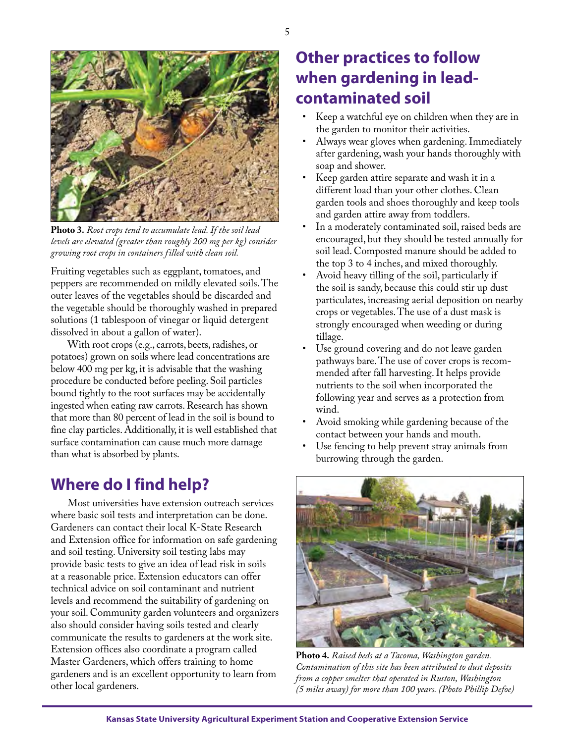

**Photo 3.** *Root crops tend to accumulate lead. If the soil lead levels are elevated (greater than roughly 200 mg per kg) consider growing root crops in containers filled with clean soil.*

Fruiting vegetables such as eggplant, tomatoes, and peppers are recommended on mildly elevated soils. The outer leaves of the vegetables should be discarded and the vegetable should be thoroughly washed in prepared solutions (1 tablespoon of vinegar or liquid detergent dissolved in about a gallon of water).

With root crops (e.g., carrots, beets, radishes, or potatoes) grown on soils where lead concentrations are below 400 mg per kg, it is advisable that the washing procedure be conducted before peeling. Soil particles bound tightly to the root surfaces may be accidentally ingested when eating raw carrots. Research has shown that more than 80 percent of lead in the soil is bound to fine clay particles. Additionally, it is well established that surface contamination can cause much more damage than what is absorbed by plants.

## **Where do I find help?**

Most universities have extension outreach services where basic soil tests and interpretation can be done. Gardeners can contact their local K-State Research and Extension office for information on safe gardening and soil testing. University soil testing labs may provide basic tests to give an idea of lead risk in soils at a reasonable price. Extension educators can offer technical advice on soil contaminant and nutrient levels and recommend the suitability of gardening on your soil. Community garden volunteers and organizers also should consider having soils tested and clearly communicate the results to gardeners at the work site. Extension offices also coordinate a program called Master Gardeners, which offers training to home gardeners and is an excellent opportunity to learn from other local gardeners.

# **Other practices to follow when gardening in leadcontaminated soil**

- Keep a watchful eye on children when they are in the garden to monitor their activities.
- Always wear gloves when gardening. Immediately after gardening, wash your hands thoroughly with soap and shower.
- Keep garden attire separate and wash it in a different load than your other clothes. Clean garden tools and shoes thoroughly and keep tools and garden attire away from toddlers.
- In a moderately contaminated soil, raised beds are encouraged, but they should be tested annually for soil lead. Composted manure should be added to the top 3 to 4 inches, and mixed thoroughly.
- Avoid heavy tilling of the soil, particularly if the soil is sandy, because this could stir up dust particulates, increasing aerial deposition on nearby crops or vegetables. The use of a dust mask is strongly encouraged when weeding or during tillage.
- Use ground covering and do not leave garden pathways bare. The use of cover crops is recommended after fall harvesting. It helps provide nutrients to the soil when incorporated the following year and serves as a protection from wind.
- Avoid smoking while gardening because of the contact between your hands and mouth.
- Use fencing to help prevent stray animals from burrowing through the garden.



**Photo 4.** *Raised beds at a Tacoma, Washington garden. Contamination of this site has been attributed to dust deposits from a copper smelter that operated in Ruston, Washington (5 miles away) for more than 100 years. (Photo Phillip Defoe)*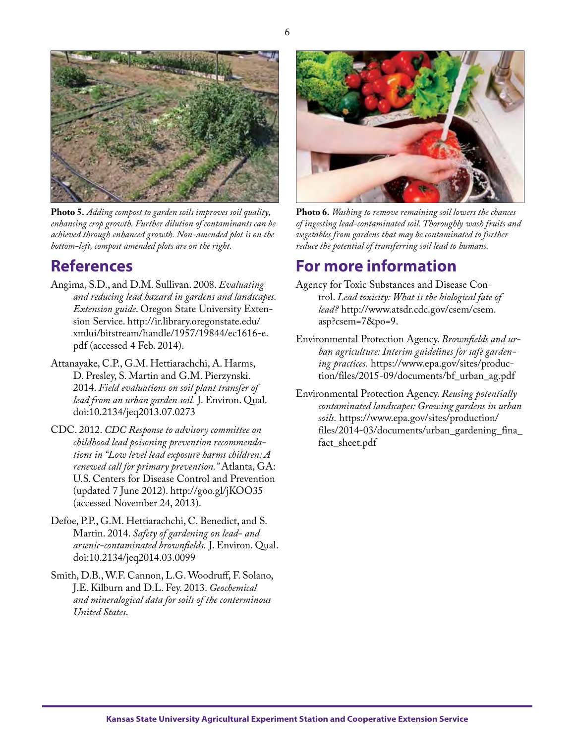

**Photo 5.** *Adding compost to garden soils improves soil quality, enhancing crop growth. Further dilution of contaminants can be achieved through enhanced growth. Non-amended plot is on the bottom-left, compost amended plots are on the right.*

## **References**

- Angima, S.D., and D.M. Sullivan. 2008. *Evaluating and reducing lead hazard in gardens and landscapes. Extension guide*. Oregon State University Extension Service. [http://ir.library.oregonstate.edu/](http://ir.library.oregonstate.edu/xmlui/bitstream/handle/1957/19844/ec1616-e.pdf) [xmlui/bitstream/handle/1957/19844/ec1616-e.](http://ir.library.oregonstate.edu/xmlui/bitstream/handle/1957/19844/ec1616-e.pdf) [pdf](http://ir.library.oregonstate.edu/xmlui/bitstream/handle/1957/19844/ec1616-e.pdf) (accessed 4 Feb. 2014).
- Attanayake, C.P., G.M. Hettiarachchi, A. Harms, D. Presley, S. Martin and G.M. Pierzynski. 2014. *Field evaluations on soil plant transfer of lead from an urban garden soil.* J. Environ. Qual. doi:10.2134/jeq2013.07.0273
- CDC. 2012. *CDC Response to advisory committee on childhood lead poisoning prevention recommendations in "Low level lead exposure harms children: A renewed call for primary prevention."* Atlanta, GA: U.S. Centers for Disease Control and Prevention (updated 7 June 2012).<http://goo.gl/jKOO35> (accessed November 24, 2013).
- Defoe, P.P., G.M. Hettiarachchi, C. Benedict, and S. Martin. 2014. *Safety of gardening on lead- and arsenic-contaminated brownfields.* J. Environ. Qual. doi:10.2134/jeq2014.03.0099
- Smith, D.B., W.F. Cannon, L.G. Woodruff, F. Solano, J.E. Kilburn and D.L. Fey. 2013. *Geochemical and mineralogical data for soils of the conterminous United States*.



**Photo 6.** *Washing to remove remaining soil lowers the chances of ingesting lead-contaminated soil. Thoroughly wash fruits and vegetables from gardens that may be contaminated to further reduce the potential of transferring soil lead to humans.*

# **For more information**

- Agency for Toxic Substances and Disease Control. *Lead toxicity: What is the biological fate of lead?* [http://www.atsdr.cdc.gov/csem/csem.](http://www.atsdr.cdc.gov/csem/csem.asp?csem=7&po=9) [asp?csem=7&po=9.](http://www.atsdr.cdc.gov/csem/csem.asp?csem=7&po=9)
- Environmental Protection Agency. *Brownfields and urban agriculture: Interim guidelines for safe gardening practices.* [https://www.epa.gov/sites/produc](https://www.epa.gov/sites/production/files/2015-09/documents/bf_urban_ag.pdf)[tion/files/2015-09/documents/bf\\_urban\\_ag.pdf](https://www.epa.gov/sites/production/files/2015-09/documents/bf_urban_ag.pdf)
- Environmental Protection Agency. *Reusing potentially contaminated landscapes: Growing gardens in urban soils.* [https://www.epa.gov/sites/production/](https://www.epa.gov/sites/production/files/2014-03/documents/urban_gardening_fina_fact_sheet.pdf) [files/2014-03/documents/urban\\_gardening\\_fina\\_](https://www.epa.gov/sites/production/files/2014-03/documents/urban_gardening_fina_fact_sheet.pdf) [fact\\_sheet.pdf](https://www.epa.gov/sites/production/files/2014-03/documents/urban_gardening_fina_fact_sheet.pdf)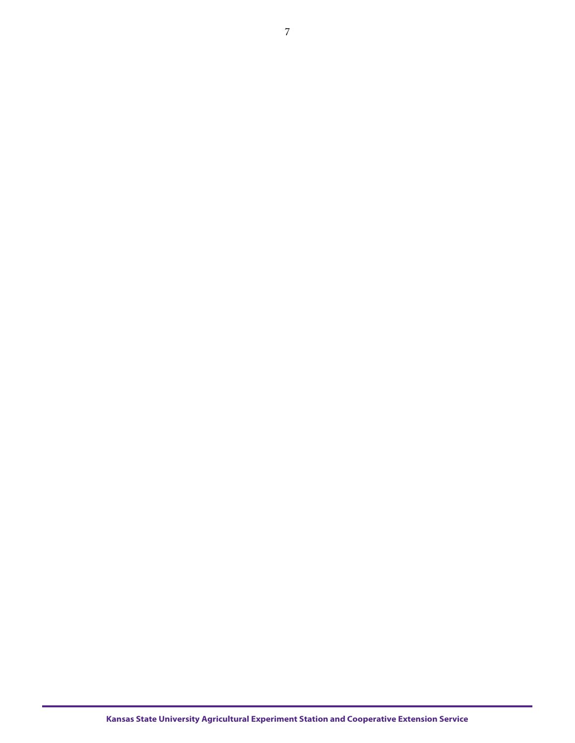